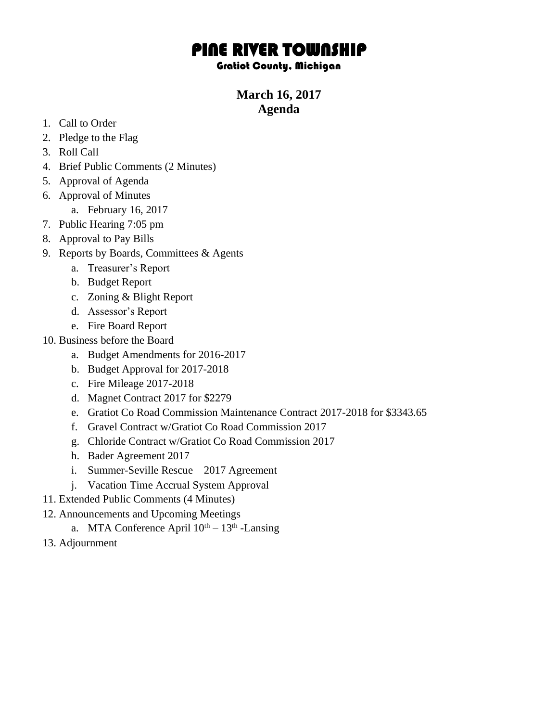## PINE RIVER TOWNSHIP

## Gratiot County, Michigan

## **March 16, 2017 Agenda**

- 1. Call to Order
- 2. Pledge to the Flag
- 3. Roll Call
- 4. Brief Public Comments (2 Minutes)
- 5. Approval of Agenda
- 6. Approval of Minutes
	- a. February 16, 2017
- 7. Public Hearing 7:05 pm
- 8. Approval to Pay Bills
- 9. Reports by Boards, Committees & Agents
	- a. Treasurer's Report
	- b. Budget Report
	- c. Zoning & Blight Report
	- d. Assessor's Report
	- e. Fire Board Report
- 10. Business before the Board
	- a. Budget Amendments for 2016-2017
	- b. Budget Approval for 2017-2018
	- c. Fire Mileage 2017-2018
	- d. Magnet Contract 2017 for \$2279
	- e. Gratiot Co Road Commission Maintenance Contract 2017-2018 for \$3343.65
	- f. Gravel Contract w/Gratiot Co Road Commission 2017
	- g. Chloride Contract w/Gratiot Co Road Commission 2017
	- h. Bader Agreement 2017
	- i. Summer-Seville Rescue 2017 Agreement
	- j. Vacation Time Accrual System Approval
- 11. Extended Public Comments (4 Minutes)
- 12. Announcements and Upcoming Meetings
	- a. MTA Conference April  $10^{th} 13^{th}$  -Lansing
- 13. Adjournment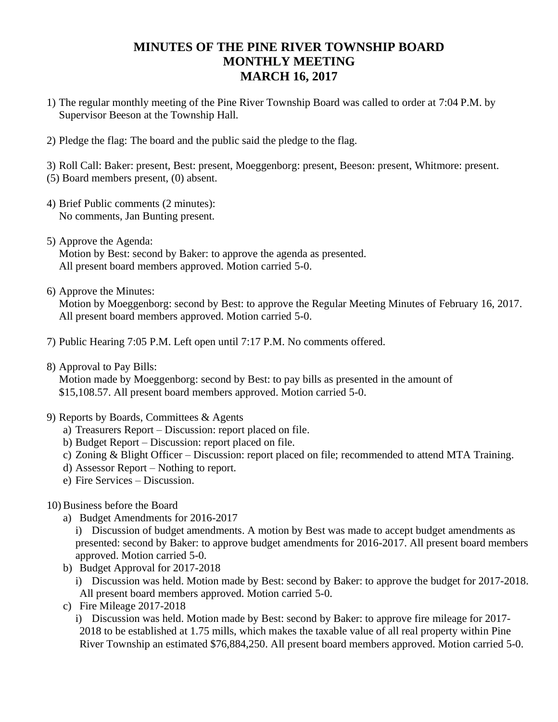## **MINUTES OF THE PINE RIVER TOWNSHIP BOARD MONTHLY MEETING MARCH 16, 2017**

- 1) The regular monthly meeting of the Pine River Township Board was called to order at 7:04 P.M. by Supervisor Beeson at the Township Hall.
- 2) Pledge the flag: The board and the public said the pledge to the flag.

3) Roll Call: Baker: present, Best: present, Moeggenborg: present, Beeson: present, Whitmore: present. (5) Board members present, (0) absent.

- 4) Brief Public comments (2 minutes): No comments, Jan Bunting present.
- 5) Approve the Agenda: Motion by Best: second by Baker: to approve the agenda as presented. All present board members approved. Motion carried 5-0.
- 6) Approve the Minutes:

Motion by Moeggenborg: second by Best: to approve the Regular Meeting Minutes of February 16, 2017. All present board members approved. Motion carried 5-0.

7) Public Hearing 7:05 P.M. Left open until 7:17 P.M. No comments offered.

8) Approval to Pay Bills:

Motion made by Moeggenborg: second by Best: to pay bills as presented in the amount of \$15,108.57. All present board members approved. Motion carried 5-0.

- 9) Reports by Boards, Committees & Agents
	- a) Treasurers Report Discussion: report placed on file.
	- b) Budget Report Discussion: report placed on file.
	- c) Zoning & Blight Officer Discussion: report placed on file; recommended to attend MTA Training.
	- d) Assessor Report Nothing to report.
	- e) Fire Services Discussion.
- 10) Business before the Board
	- a) Budget Amendments for 2016-2017

i) Discussion of budget amendments. A motion by Best was made to accept budget amendments as presented: second by Baker: to approve budget amendments for 2016-2017. All present board members approved. Motion carried 5-0.

b) Budget Approval for 2017-2018

i) Discussion was held. Motion made by Best: second by Baker: to approve the budget for 2017-2018. All present board members approved. Motion carried 5-0.

c) Fire Mileage 2017-2018

i) Discussion was held. Motion made by Best: second by Baker: to approve fire mileage for 2017- 2018 to be established at 1.75 mills, which makes the taxable value of all real property within Pine River Township an estimated \$76,884,250. All present board members approved. Motion carried 5-0.